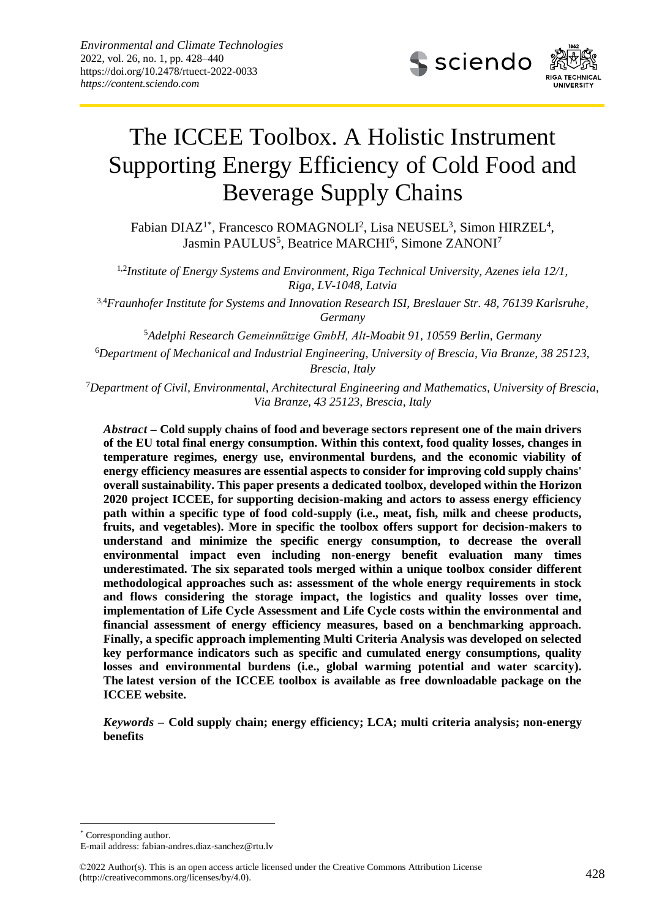

# The ICCEE Toolbox. A Holistic Instrument Supporting Energy Efficiency of Cold Food and Beverage Supply Chains

Fabian DIAZ<sup>1\*</sup>, Francesco ROMAGNOLI<sup>2</sup>, Lisa NEUSEL<sup>3</sup>, Simon HIRZEL<sup>4</sup>, Jasmin PAULUS<sup>5</sup>, Beatrice MARCHI<sup>6</sup>, Simone ZANONI<sup>7</sup>

1,2 *Institute of Energy Systems and Environment, Riga Technical University, Azenes iela 12/1, Riga, LV-1048, Latvia*

3,4*Fraunhofer Institute for Systems and Innovation Research ISI, Breslauer Str. 48, 76139 Karlsruhe, Germany*

<sup>5</sup>*Adelphi Research Gemeinnützige GmbH, Alt-Moabit 91, 10559 Berlin, Germany*

<sup>6</sup>*Department of Mechanical and Industrial Engineering, University of Brescia, Via Branze, 38 25123, Brescia, Italy*

<sup>7</sup>*Department of Civil, Environmental, Architectural Engineering and Mathematics, University of Brescia, Via Branze, 43 25123, Brescia, Italy*

*Abstract* **– Cold supply chains of food and beverage sectors represent one of the main drivers of the EU total final energy consumption. Within this context, food quality losses, changes in temperature regimes, energy use, environmental burdens, and the economic viability of energy efficiency measures are essential aspects to consider for improving cold supply chains' overall sustainability. This paper presents a dedicated toolbox, developed within the Horizon 2020 project ICCEE, for supporting decision-making and actors to assess energy efficiency path within a specific type of food cold-supply (i.e., meat, fish, milk and cheese products, fruits, and vegetables). More in specific the toolbox offers support for decision-makers to understand and minimize the specific energy consumption, to decrease the overall environmental impact even including non-energy benefit evaluation many times underestimated. The six separated tools merged within a unique toolbox consider different methodological approaches such as: assessment of the whole energy requirements in stock and flows considering the storage impact, the logistics and quality losses over time, implementation of Life Cycle Assessment and Life Cycle costs within the environmental and financial assessment of energy efficiency measures, based on a benchmarking approach. Finally, a specific approach implementing Multi Criteria Analysis was developed on selected key performance indicators such as specific and cumulated energy consumptions, quality losses and environmental burdens (i.e., global warming potential and water scarcity). The latest version of the ICCEE toolbox is available as free downloadable package on the ICCEE website.**

*Keywords* **– Cold supply chain; energy efficiency; LCA; multi criteria analysis; non-energy benefits**

\* Corresponding author.

-

E-mail address: [fabian-andres.diaz-sanchez@rtu.lv](mailto:fabian-andres.diaz-sanchez@rtu.lv)

<sup>©2022</sup> Author(s). This is an open access article licensed under the Creative Commons Attribution License 428 (http://creativecommons.org/licenses/by/4.0).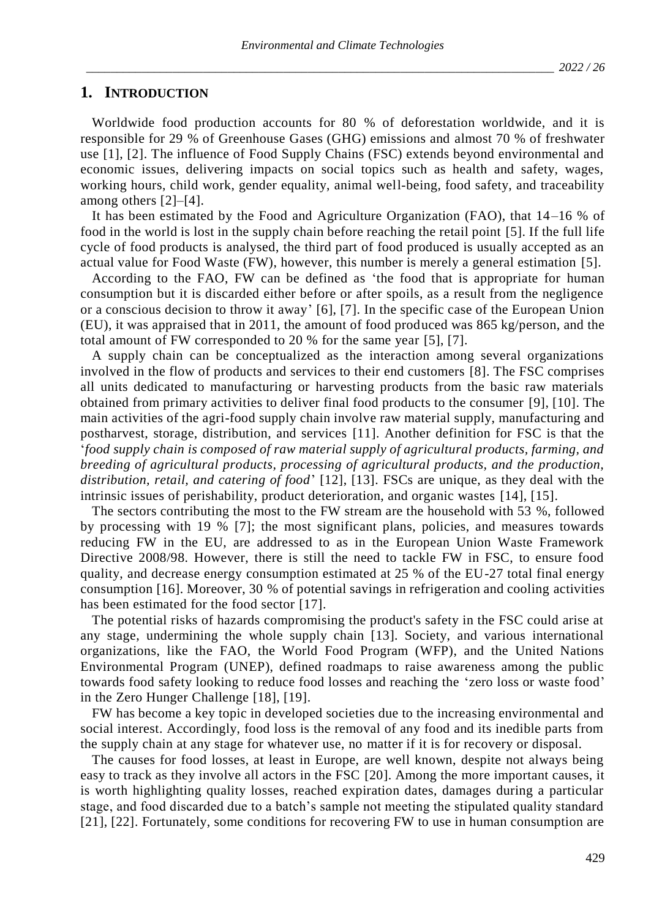# **1. INTRODUCTION**

Worldwide food production accounts for 80 % of deforestation worldwide, and it is responsible for 29 % of Greenhouse Gases (GHG) emissions and almost 70 % of freshwater use [1], [2]. The influence of Food Supply Chains (FSC) extends beyond environmental and economic issues, delivering impacts on social topics such as health and safety, wages, working hours, child work, gender equality, animal well-being, food safety, and traceability among others [2]–[4].

It has been estimated by the Food and Agriculture Organization (FAO), that 14–16 % of food in the world is lost in the supply chain before reaching the retail point [5]. If the full life cycle of food products is analysed, the third part of food produced is usually accepted as an actual value for Food Waste (FW), however, this number is merely a general estimation [5].

According to the FAO, FW can be defined as 'the food that is appropriate for human consumption but it is discarded either before or after spoils, as a result from the negligence or a conscious decision to throw it away' [6], [7]. In the specific case of the European Union (EU), it was appraised that in 2011, the amount of food produced was 865 kg/person, and the total amount of FW corresponded to 20 % for the same year [5], [7].

A supply chain can be conceptualized as the interaction among several organizations involved in the flow of products and services to their end customers [8]. The FSC comprises all units dedicated to manufacturing or harvesting products from the basic raw materials obtained from primary activities to deliver final food products to the consumer [9], [10]. The main activities of the agri-food supply chain involve raw material supply, manufacturing and postharvest, storage, distribution, and services [11]. Another definition for FSC is that the '*food supply chain is composed of raw material supply of agricultural products, farming, and breeding of agricultural products, processing of agricultural products, and the production, distribution, retail, and catering of food*' [12], [13]. FSCs are unique, as they deal with the intrinsic issues of perishability, product deterioration, and organic wastes [14], [15].

The sectors contributing the most to the FW stream are the household with 53 %, followed by processing with 19 % [7]; the most significant plans, policies, and measures towards reducing FW in the EU, are addressed to as in the European Union Waste Framework Directive 2008/98. However, there is still the need to tackle FW in FSC, to ensure food quality, and decrease energy consumption estimated at 25 % of the EU-27 total final energy consumption [16]. Moreover, 30 % of potential savings in refrigeration and cooling activities has been estimated for the food sector [17].

The potential risks of hazards compromising the product's safety in the FSC could arise at any stage, undermining the whole supply chain [13]. Society, and various international organizations, like the FAO, the World Food Program (WFP), and the United Nations Environmental Program (UNEP), defined roadmaps to raise awareness among the public towards food safety looking to reduce food losses and reaching the 'zero loss or waste food' in the Zero Hunger Challenge [18], [19].

FW has become a key topic in developed societies due to the increasing environmental and social interest. Accordingly, food loss is the removal of any food and its inedible parts from the supply chain at any stage for whatever use, no matter if it is for recovery or disposal.

The causes for food losses, at least in Europe, are well known, despite not always being easy to track as they involve all actors in the FSC [20]. Among the more important causes, it is worth highlighting quality losses, reached expiration dates, damages during a particular stage, and food discarded due to a batch's sample not meeting the stipulated quality standard [21], [22]. Fortunately, some conditions for recovering FW to use in human consumption are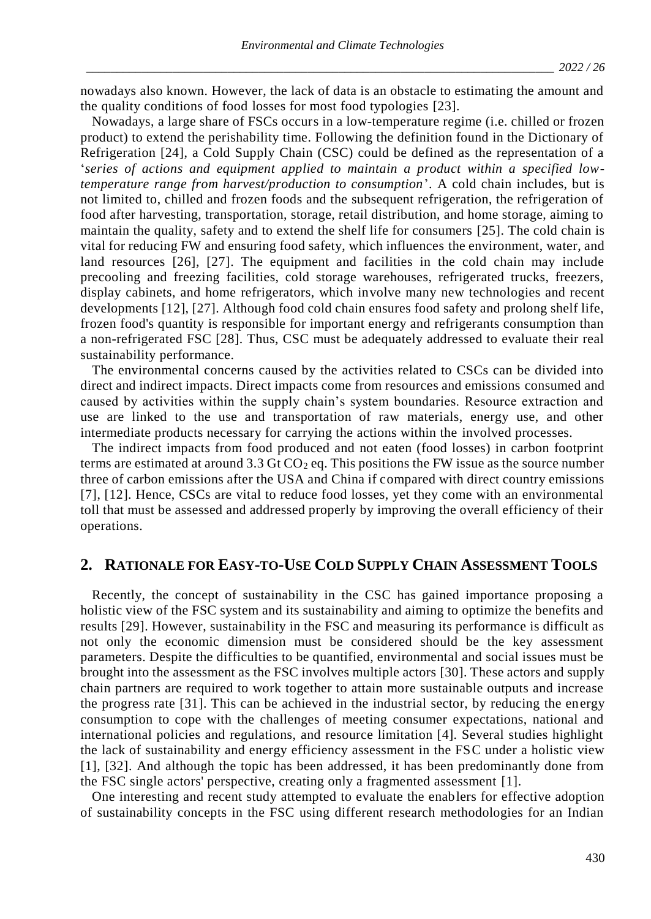nowadays also known. However, the lack of data is an obstacle to estimating the amount and the quality conditions of food losses for most food typologies [23].

Nowadays, a large share of FSCs occurs in a low-temperature regime (i.e. chilled or frozen product) to extend the perishability time. Following the definition found in the Dictionary of Refrigeration [24], a Cold Supply Chain (CSC) could be defined as the representation of a '*series of actions and equipment applied to maintain a product within a specified lowtemperature range from harvest/production to consumption*'. A cold chain includes, but is not limited to, chilled and frozen foods and the subsequent refrigeration, the refrigeration of food after harvesting, transportation, storage, retail distribution, and home storage, aiming to maintain the quality, safety and to extend the shelf life for consumers [25]. The cold chain is vital for reducing FW and ensuring food safety, which influences the environment, water, and land resources [26], [27]. The equipment and facilities in the cold chain may include precooling and freezing facilities, cold storage warehouses, refrigerated trucks, freezers, display cabinets, and home refrigerators, which involve many new technologies and recent developments [12], [27]. Although food cold chain ensures food safety and prolong shelf life, frozen food's quantity is responsible for important energy and refrigerants consumption than a non-refrigerated FSC [28]. Thus, CSC must be adequately addressed to evaluate their real sustainability performance.

The environmental concerns caused by the activities related to CSCs can be divided into direct and indirect impacts. Direct impacts come from resources and emissions consumed and caused by activities within the supply chain's system boundaries. Resource extraction and use are linked to the use and transportation of raw materials, energy use, and other intermediate products necessary for carrying the actions within the involved processes.

The indirect impacts from food produced and not eaten (food losses) in carbon footprint terms are estimated at around 3.3 Gt  $CO<sub>2</sub>$  eq. This positions the FW issue as the source number three of carbon emissions after the USA and China if compared with direct country emissions [7], [12]. Hence, CSCs are vital to reduce food losses, yet they come with an environmental toll that must be assessed and addressed properly by improving the overall efficiency of their operations.

## **2. RATIONALE FOR EASY-TO-USE COLD SUPPLY CHAIN ASSESSMENT TOOLS**

Recently, the concept of sustainability in the CSC has gained importance proposing a holistic view of the FSC system and its sustainability and aiming to optimize the benefits and results [29]. However, sustainability in the FSC and measuring its performance is difficult as not only the economic dimension must be considered should be the key assessment parameters. Despite the difficulties to be quantified, environmental and social issues must be brought into the assessment as the FSC involves multiple actors [30]. These actors and supply chain partners are required to work together to attain more sustainable outputs and increase the progress rate [31]. This can be achieved in the industrial sector, by reducing the energy consumption to cope with the challenges of meeting consumer expectations, national and international policies and regulations, and resource limitation [4]. Several studies highlight the lack of sustainability and energy efficiency assessment in the FSC under a holistic view [1], [32]. And although the topic has been addressed, it has been predominantly done from the FSC single actors' perspective, creating only a fragmented assessment [1].

One interesting and recent study attempted to evaluate the enablers for effective adoption of sustainability concepts in the FSC using different research methodologies for an Indian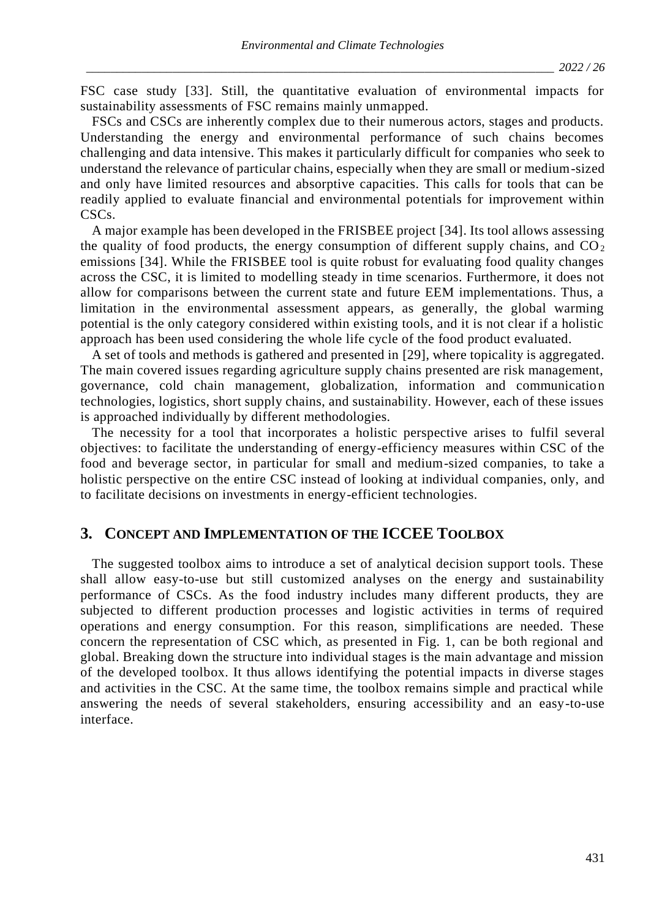FSC case study [33]. Still, the quantitative evaluation of environmental impacts for sustainability assessments of FSC remains mainly unmapped.

FSCs and CSCs are inherently complex due to their numerous actors, stages and products. Understanding the energy and environmental performance of such chains becomes challenging and data intensive. This makes it particularly difficult for companies who seek to understand the relevance of particular chains, especially when they are small or medium-sized and only have limited resources and absorptive capacities. This calls for tools that can be readily applied to evaluate financial and environmental potentials for improvement within CSC<sub>s</sub>.

A major example has been developed in the FRISBEE project [34]. Its tool allows assessing the quality of food products, the energy consumption of different supply chains, and  $CO<sub>2</sub>$ emissions [34]. While the FRISBEE tool is quite robust for evaluating food quality changes across the CSC, it is limited to modelling steady in time scenarios. Furthermore, it does not allow for comparisons between the current state and future EEM implementations. Thus, a limitation in the environmental assessment appears, as generally, the global warming potential is the only category considered within existing tools, and it is not clear if a holistic approach has been used considering the whole life cycle of the food product evaluated.

A set of tools and methods is gathered and presented in [29], where topicality is aggregated. The main covered issues regarding agriculture supply chains presented are risk management, governance, cold chain management, globalization, information and communication technologies, logistics, short supply chains, and sustainability. However, each of these issues is approached individually by different methodologies.

The necessity for a tool that incorporates a holistic perspective arises to fulfil several objectives: to facilitate the understanding of energy-efficiency measures within CSC of the food and beverage sector, in particular for small and medium-sized companies, to take a holistic perspective on the entire CSC instead of looking at individual companies, only, and to facilitate decisions on investments in energy-efficient technologies.

# **3. CONCEPT AND IMPLEMENTATION OF THE ICCEE TOOLBOX**

The suggested toolbox aims to introduce a set of analytical decision support tools. These shall allow easy-to-use but still customized analyses on the energy and sustainability performance of CSCs. As the food industry includes many different products, they are subjected to different production processes and logistic activities in terms of required operations and energy consumption. For this reason, simplifications are needed. These concern the representation of CSC which, as presented in Fig. 1, can be both regional and global. Breaking down the structure into individual stages is the main advantage and mission of the developed toolbox. It thus allows identifying the potential impacts in diverse stages and activities in the CSC. At the same time, the toolbox remains simple and practical while answering the needs of several stakeholders, ensuring accessibility and an easy-to-use interface.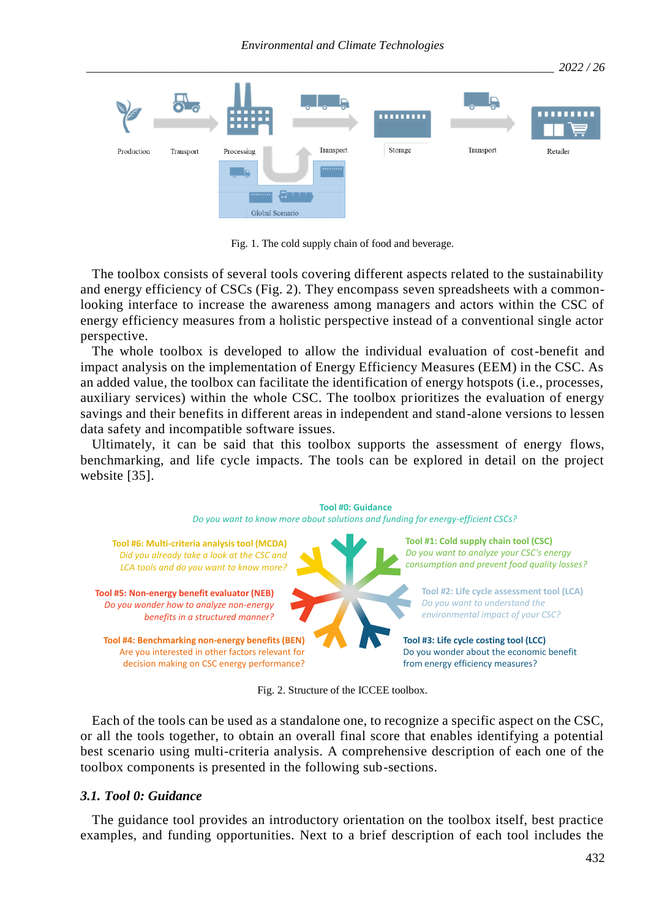

Fig. 1. The cold supply chain of food and beverage.

The toolbox consists of several tools covering different aspects related to the sustainability and energy efficiency of CSCs (Fig. 2). They encompass seven spreadsheets with a commonlooking interface to increase the awareness among managers and actors within the CSC of energy efficiency measures from a holistic perspective instead of a conventional single actor perspective.

The whole toolbox is developed to allow the individual evaluation of cost-benefit and impact analysis on the implementation of Energy Efficiency Measures (EEM) in the CSC. As an added value, the toolbox can facilitate the identification of energy hotspots (i.e., processes, auxiliary services) within the whole CSC. The toolbox prioritizes the evaluation of energy savings and their benefits in different areas in independent and stand-alone versions to lessen data safety and incompatible software issues.

Ultimately, it can be said that this toolbox supports the assessment of energy flows, benchmarking, and life cycle impacts. The tools can be explored in detail on the project website [35].



Fig. 2. Structure of the ICCEE toolbox.

Each of the tools can be used as a standalone one, to recognize a specific aspect on the CSC, or all the tools together, to obtain an overall final score that enables identifying a potential best scenario using multi-criteria analysis. A comprehensive description of each one of the toolbox components is presented in the following sub-sections.

## *3.1. Tool 0: Guidance*

The guidance tool provides an introductory orientation on the toolbox itself, best practice examples, and funding opportunities. Next to a brief description of each tool includes the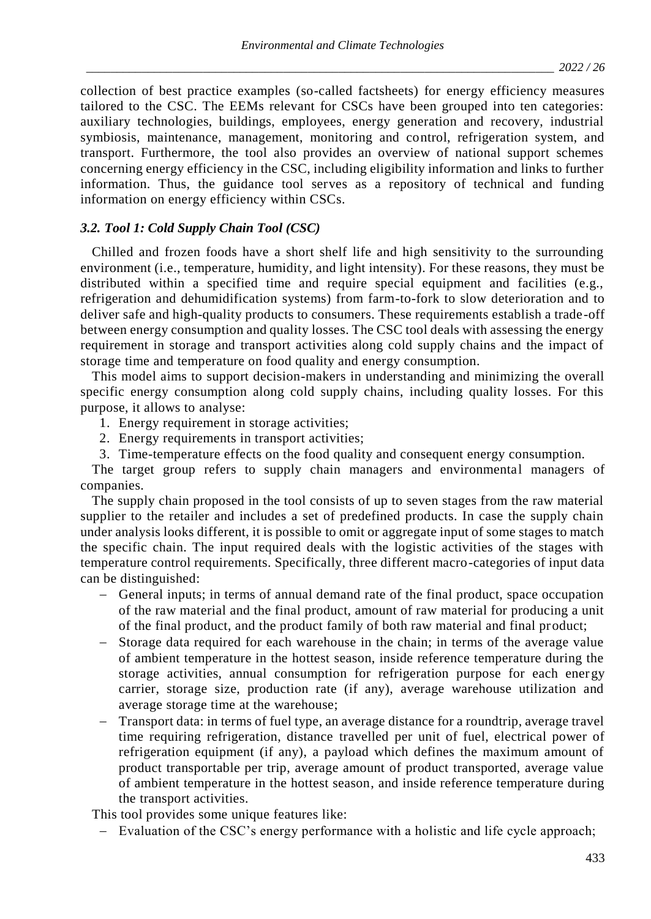collection of best practice examples (so-called factsheets) for energy efficiency measures tailored to the CSC. The EEMs relevant for CSCs have been grouped into ten categories: auxiliary technologies, buildings, employees, energy generation and recovery, industrial symbiosis, maintenance, management, monitoring and control, refrigeration system, and transport. Furthermore, the tool also provides an overview of national support schemes concerning energy efficiency in the CSC, including eligibility information and links to further information. Thus, the guidance tool serves as a repository of technical and funding information on energy efficiency within CSCs.

# *3.2. Tool 1: Cold Supply Chain Tool (CSC)*

Chilled and frozen foods have a short shelf life and high sensitivity to the surrounding environment (i.e., temperature, humidity, and light intensity). For these reasons, they must be distributed within a specified time and require special equipment and facilities (e.g., refrigeration and dehumidification systems) from farm-to-fork to slow deterioration and to deliver safe and high-quality products to consumers. These requirements establish a trade-off between energy consumption and quality losses. The CSC tool deals with assessing the energy requirement in storage and transport activities along cold supply chains and the impact of storage time and temperature on food quality and energy consumption.

This model aims to support decision-makers in understanding and minimizing the overall specific energy consumption along cold supply chains, including quality losses. For this purpose, it allows to analyse:

- 1. Energy requirement in storage activities;
- 2. Energy requirements in transport activities;
- 3. Time-temperature effects on the food quality and consequent energy consumption.

The target group refers to supply chain managers and environmental managers of companies.

The supply chain proposed in the tool consists of up to seven stages from the raw material supplier to the retailer and includes a set of predefined products. In case the supply chain under analysis looks different, it is possible to omit or aggregate input of some stages to match the specific chain. The input required deals with the logistic activities of the stages with temperature control requirements. Specifically, three different macro-categories of input data can be distinguished:

- − General inputs; in terms of annual demand rate of the final product, space occupation of the raw material and the final product, amount of raw material for producing a unit of the final product, and the product family of both raw material and final product;
- − Storage data required for each warehouse in the chain; in terms of the average value of ambient temperature in the hottest season, inside reference temperature during the storage activities, annual consumption for refrigeration purpose for each energy carrier, storage size, production rate (if any), average warehouse utilization and average storage time at the warehouse;
- Transport data: in terms of fuel type, an average distance for a roundtrip, average travel time requiring refrigeration, distance travelled per unit of fuel, electrical power of refrigeration equipment (if any), a payload which defines the maximum amount of product transportable per trip, average amount of product transported, average value of ambient temperature in the hottest season, and inside reference temperature during the transport activities.

This tool provides some unique features like:

− Evaluation of the CSC's energy performance with a holistic and life cycle approach;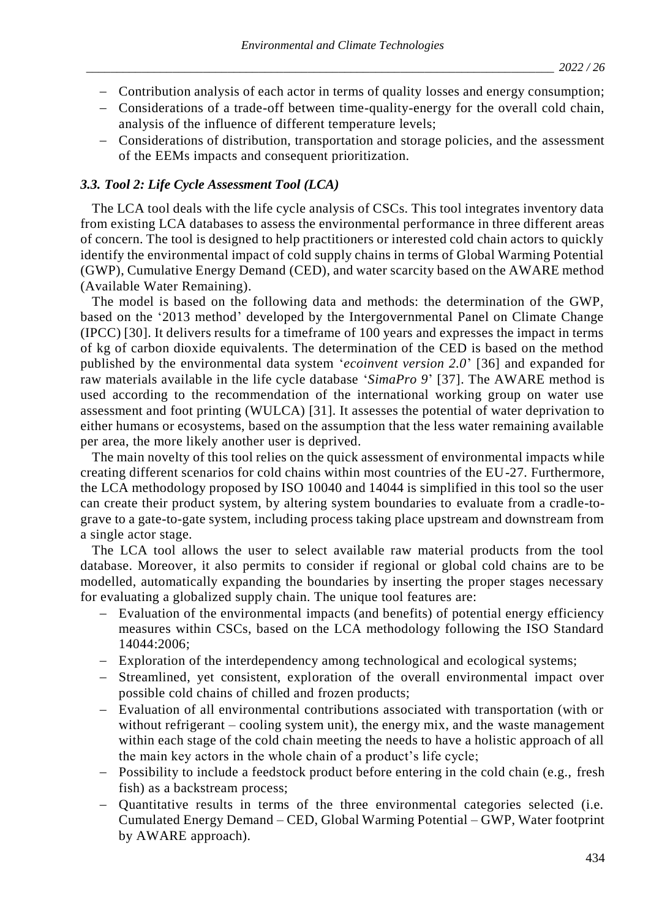- − Contribution analysis of each actor in terms of quality losses and energy consumption;
- − Considerations of a trade-off between time-quality-energy for the overall cold chain, analysis of the influence of different temperature levels;
- − Considerations of distribution, transportation and storage policies, and the assessment of the EEMs impacts and consequent prioritization.

## *3.3. Tool 2: Life Cycle Assessment Tool (LCA)*

The LCA tool deals with the life cycle analysis of CSCs. This tool integrates inventory data from existing LCA databases to assess the environmental performance in three different areas of concern. The tool is designed to help practitioners or interested cold chain actors to quickly identify the environmental impact of cold supply chains in terms of Global Warming Potential (GWP), Cumulative Energy Demand (CED), and water scarcity based on the AWARE method (Available Water Remaining).

The model is based on the following data and methods: the determination of the GWP, based on the '2013 method' developed by the Intergovernmental Panel on Climate Change (IPCC) [30]. It delivers results for a timeframe of 100 years and expresses the impact in terms of kg of carbon dioxide equivalents. The determination of the CED is based on the method published by the environmental data system '*ecoinvent version 2.0*' [36] and expanded for raw materials available in the life cycle database '*SimaPro 9*' [37]. The AWARE method is used according to the recommendation of the international working group on water use assessment and foot printing (WULCA) [31]. It assesses the potential of water deprivation to either humans or ecosystems, based on the assumption that the less water remaining available per area, the more likely another user is deprived.

The main novelty of this tool relies on the quick assessment of environmental impacts while creating different scenarios for cold chains within most countries of the EU-27. Furthermore, the LCA methodology proposed by ISO 10040 and 14044 is simplified in this tool so the user can create their product system, by altering system boundaries to evaluate from a cradle-tograve to a gate-to-gate system, including process taking place upstream and downstream from a single actor stage.

The LCA tool allows the user to select available raw material products from the tool database. Moreover, it also permits to consider if regional or global cold chains are to be modelled, automatically expanding the boundaries by inserting the proper stages necessary for evaluating a globalized supply chain. The unique tool features are:

- − Evaluation of the environmental impacts (and benefits) of potential energy efficiency measures within CSCs, based on the LCA methodology following the ISO Standard 14044:2006;
- − Exploration of the interdependency among technological and ecological systems;
- − Streamlined, yet consistent, exploration of the overall environmental impact over possible cold chains of chilled and frozen products;
- − Evaluation of all environmental contributions associated with transportation (with or without refrigerant – cooling system unit), the energy mix, and the waste management within each stage of the cold chain meeting the needs to have a holistic approach of all the main key actors in the whole chain of a product's life cycle;
- − Possibility to include a feedstock product before entering in the cold chain (e.g., fresh fish) as a backstream process;
- − Quantitative results in terms of the three environmental categories selected (i.e. Cumulated Energy Demand – CED, Global Warming Potential – GWP, Water footprint by AWARE approach).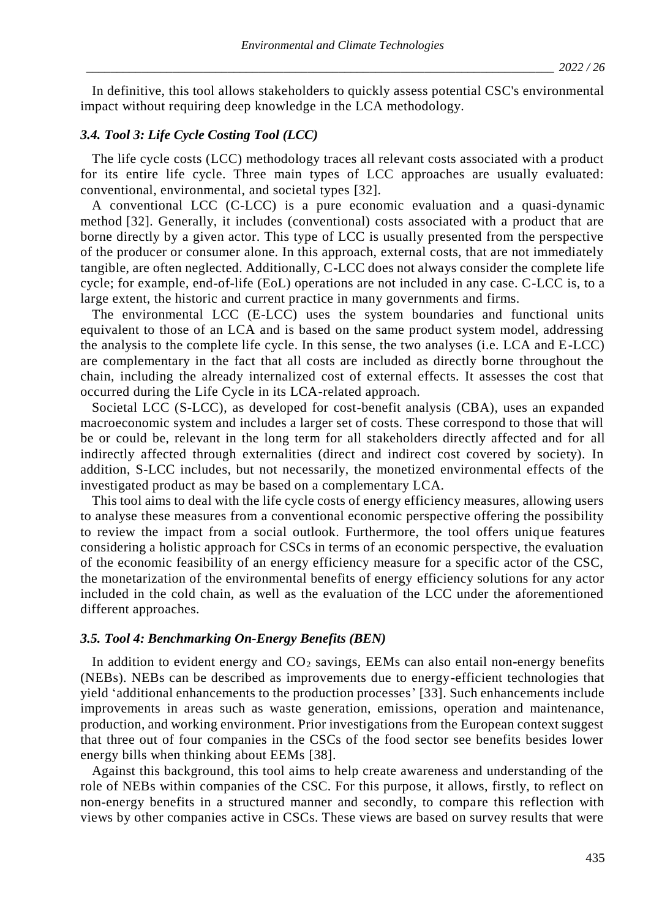In definitive, this tool allows stakeholders to quickly assess potential CSC's environmental impact without requiring deep knowledge in the LCA methodology.

#### *3.4. Tool 3: Life Cycle Costing Tool (LCC)*

The life cycle costs (LCC) methodology traces all relevant costs associated with a product for its entire life cycle. Three main types of LCC approaches are usually evaluated: conventional, environmental, and societal types [32].

A conventional LCC (C-LCC) is a pure economic evaluation and a quasi-dynamic method [32]. Generally, it includes (conventional) costs associated with a product that are borne directly by a given actor. This type of LCC is usually presented from the perspective of the producer or consumer alone. In this approach, external costs, that are not immediately tangible, are often neglected. Additionally, C-LCC does not always consider the complete life cycle; for example, end-of-life (EoL) operations are not included in any case. C-LCC is, to a large extent, the historic and current practice in many governments and firms.

The environmental LCC (E-LCC) uses the system boundaries and functional units equivalent to those of an LCA and is based on the same product system model, addressing the analysis to the complete life cycle. In this sense, the two analyses (i.e. LCA and E-LCC) are complementary in the fact that all costs are included as directly borne throughout the chain, including the already internalized cost of external effects. It assesses the cost that occurred during the Life Cycle in its LCA-related approach.

Societal LCC (S-LCC), as developed for cost-benefit analysis (CBA), uses an expanded macroeconomic system and includes a larger set of costs. These correspond to those that will be or could be, relevant in the long term for all stakeholders directly affected and for all indirectly affected through externalities (direct and indirect cost covered by society). In addition, S-LCC includes, but not necessarily, the monetized environmental effects of the investigated product as may be based on a complementary LCA.

This tool aims to deal with the life cycle costs of energy efficiency measures, allowing users to analyse these measures from a conventional economic perspective offering the possibility to review the impact from a social outlook. Furthermore, the tool offers unique features considering a holistic approach for CSCs in terms of an economic perspective, the evaluation of the economic feasibility of an energy efficiency measure for a specific actor of the CSC, the monetarization of the environmental benefits of energy efficiency solutions for any actor included in the cold chain, as well as the evaluation of the LCC under the aforementioned different approaches.

#### *3.5. Tool 4: Benchmarking On-Energy Benefits (BEN)*

In addition to evident energy and  $CO<sub>2</sub>$  savings, EEMs can also entail non-energy benefits (NEBs). NEBs can be described as improvements due to energy-efficient technologies that yield 'additional enhancements to the production processes' [33]. Such enhancements include improvements in areas such as waste generation, emissions, operation and maintenance, production, and working environment. Prior investigations from the European context suggest that three out of four companies in the CSCs of the food sector see benefits besides lower energy bills when thinking about EEMs [38].

Against this background, this tool aims to help create awareness and understanding of the role of NEBs within companies of the CSC. For this purpose, it allows, firstly, to reflect on non-energy benefits in a structured manner and secondly, to compare this reflection with views by other companies active in CSCs. These views are based on survey results that were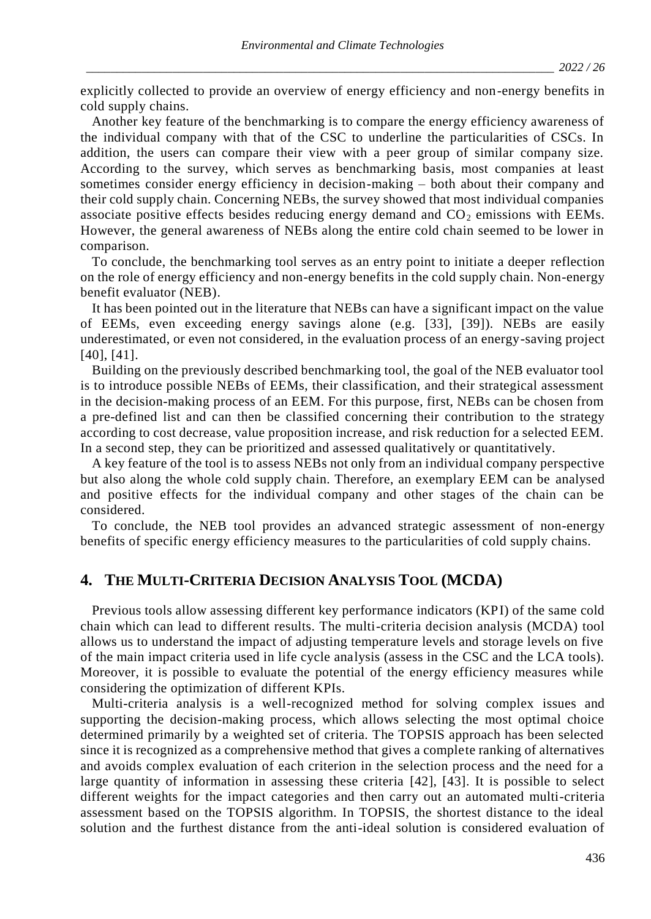explicitly collected to provide an overview of energy efficiency and non-energy benefits in cold supply chains.

Another key feature of the benchmarking is to compare the energy efficiency awareness of the individual company with that of the CSC to underline the particularities of CSCs. In addition, the users can compare their view with a peer group of similar company size. According to the survey, which serves as benchmarking basis, most companies at least sometimes consider energy efficiency in decision-making – both about their company and their cold supply chain. Concerning NEBs, the survey showed that most individual companies associate positive effects besides reducing energy demand and  $CO<sub>2</sub>$  emissions with EEMs. However, the general awareness of NEBs along the entire cold chain seemed to be lower in comparison.

To conclude, the benchmarking tool serves as an entry point to initiate a deeper reflection on the role of energy efficiency and non-energy benefits in the cold supply chain. Non-energy benefit evaluator (NEB).

It has been pointed out in the literature that NEBs can have a significant impact on the value of EEMs, even exceeding energy savings alone (e.g. [33], [39]). NEBs are easily underestimated, or even not considered, in the evaluation process of an energy-saving project [40], [41].

Building on the previously described benchmarking tool, the goal of the NEB evaluator tool is to introduce possible NEBs of EEMs, their classification, and their strategical assessment in the decision-making process of an EEM. For this purpose, first, NEBs can be chosen from a pre-defined list and can then be classified concerning their contribution to the strategy according to cost decrease, value proposition increase, and risk reduction for a selected EEM. In a second step, they can be prioritized and assessed qualitatively or quantitatively.

A key feature of the tool is to assess NEBs not only from an individual company perspective but also along the whole cold supply chain. Therefore, an exemplary EEM can be analysed and positive effects for the individual company and other stages of the chain can be considered.

To conclude, the NEB tool provides an advanced strategic assessment of non-energy benefits of specific energy efficiency measures to the particularities of cold supply chains.

# **4. THE MULTI-CRITERIA DECISION ANALYSIS TOOL (MCDA)**

Previous tools allow assessing different key performance indicators (KPI) of the same cold chain which can lead to different results. The multi-criteria decision analysis (MCDA) tool allows us to understand the impact of adjusting temperature levels and storage levels on five of the main impact criteria used in life cycle analysis (assess in the CSC and the LCA tools). Moreover, it is possible to evaluate the potential of the energy efficiency measures while considering the optimization of different KPIs.

Multi-criteria analysis is a well-recognized method for solving complex issues and supporting the decision-making process, which allows selecting the most optimal choice determined primarily by a weighted set of criteria. The TOPSIS approach has been selected since it is recognized as a comprehensive method that gives a complete ranking of alternatives and avoids complex evaluation of each criterion in the selection process and the need for a large quantity of information in assessing these criteria [42], [43]. It is possible to select different weights for the impact categories and then carry out an automated multi-criteria assessment based on the TOPSIS algorithm. In TOPSIS, the shortest distance to the ideal solution and the furthest distance from the anti-ideal solution is considered evaluation of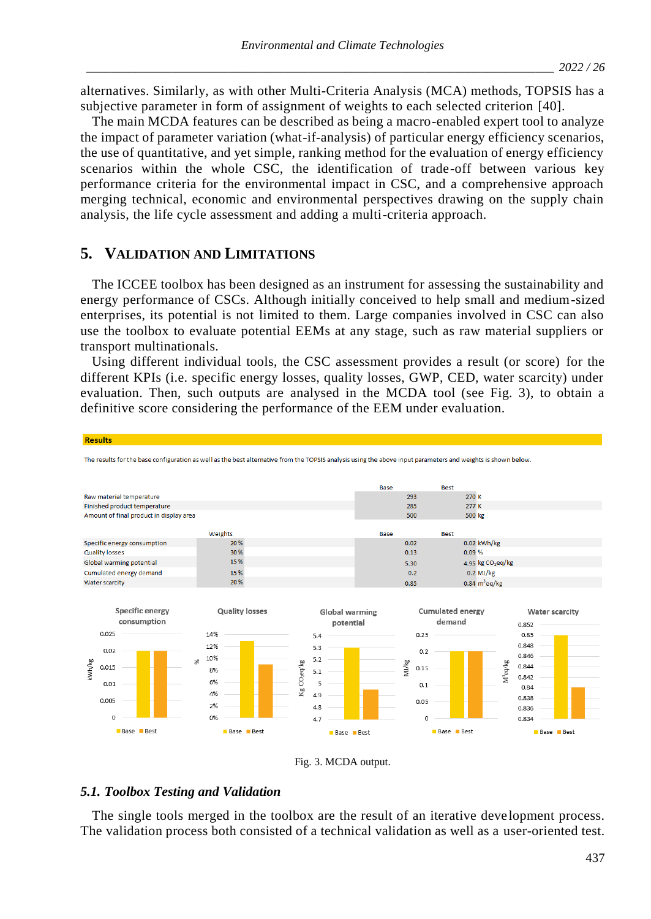alternatives. Similarly, as with other Multi-Criteria Analysis (MCA) methods, TOPSIS has a subjective parameter in form of assignment of weights to each selected criterion [40].

The main MCDA features can be described as being a macro-enabled expert tool to analyze the impact of parameter variation (what-if-analysis) of particular energy efficiency scenarios, the use of quantitative, and yet simple, ranking method for the evaluation of energy efficiency scenarios within the whole CSC, the identification of trade-off between various key performance criteria for the environmental impact in CSC, and a comprehensive approach merging technical, economic and environmental perspectives drawing on the supply chain analysis, the life cycle assessment and adding a multi-criteria approach.

# **5. VALIDATION AND LIMITATIONS**

The ICCEE toolbox has been designed as an instrument for assessing the sustainability and energy performance of CSCs. Although initially conceived to help small and medium-sized enterprises, its potential is not limited to them. Large companies involved in CSC can also use the toolbox to evaluate potential EEMs at any stage, such as raw material suppliers or transport multinationals.

Using different individual tools, the CSC assessment provides a result (or score) for the different KPIs (i.e. specific energy losses, quality losses, GWP, CED, water scarcity) under evaluation. Then, such outputs are analysed in the MCDA tool (see Fig. 3), to obtain a definitive score considering the performance of the EEM under evaluation.





## *5.1. Toolbox Testing and Validation*

The single tools merged in the toolbox are the result of an iterative deve lopment process.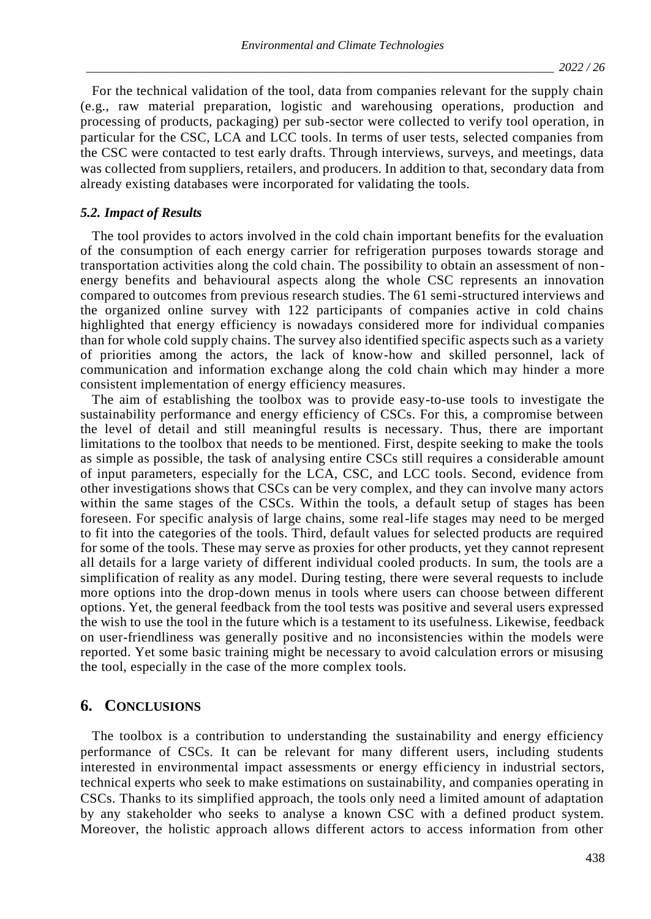For the technical validation of the tool, data from companies relevant for the supply chain (e.g., raw material preparation, logistic and warehousing operations, production and processing of products, packaging) per sub-sector were collected to verify tool operation, in particular for the CSC, LCA and LCC tools. In terms of user tests, selected companies from the CSC were contacted to test early drafts. Through interviews, surveys, and meetings, data was collected from suppliers, retailers, and producers. In addition to that, secondary data from already existing databases were incorporated for validating the tools.

#### *5.2. Impact of Results*

The tool provides to actors involved in the cold chain important benefits for the evaluation of the consumption of each energy carrier for refrigeration purposes towards storage and transportation activities along the cold chain. The possibility to obtain an assessment of nonenergy benefits and behavioural aspects along the whole CSC represents an innovation compared to outcomes from previous research studies. The 61 semi-structured interviews and the organized online survey with 122 participants of companies active in cold chains highlighted that energy efficiency is nowadays considered more for individual companies than for whole cold supply chains. The survey also identified specific aspects such as a variety of priorities among the actors, the lack of know-how and skilled personnel, lack of communication and information exchange along the cold chain which may hinder a more consistent implementation of energy efficiency measures.

The aim of establishing the toolbox was to provide easy-to-use tools to investigate the sustainability performance and energy efficiency of CSCs. For this, a compromise between the level of detail and still meaningful results is necessary. Thus, there are important limitations to the toolbox that needs to be mentioned. First, despite seeking to make the tools as simple as possible, the task of analysing entire CSCs still requires a considerable amount of input parameters, especially for the LCA, CSC, and LCC tools. Second, evidence from other investigations shows that CSCs can be very complex, and they can involve many actors within the same stages of the CSCs. Within the tools, a default setup of stages has been foreseen. For specific analysis of large chains, some real-life stages may need to be merged to fit into the categories of the tools. Third, default values for selected products are required for some of the tools. These may serve as proxies for other products, yet they cannot represent all details for a large variety of different individual cooled products. In sum, the tools are a simplification of reality as any model. During testing, there were several requests to include more options into the drop-down menus in tools where users can choose between different options. Yet, the general feedback from the tool tests was positive and several users expressed the wish to use the tool in the future which is a testament to its usefulness. Likewise, feedback on user-friendliness was generally positive and no inconsistencies within the models were reported. Yet some basic training might be necessary to avoid calculation errors or misusing the tool, especially in the case of the more complex tools.

# **6. CONCLUSIONS**

The toolbox is a contribution to understanding the sustainability and energy efficiency performance of CSCs. It can be relevant for many different users, including students interested in environmental impact assessments or energy efficiency in industrial sectors, technical experts who seek to make estimations on sustainability, and companies operating in CSCs. Thanks to its simplified approach, the tools only need a limited amount of adaptation by any stakeholder who seeks to analyse a known CSC with a defined product system. Moreover, the holistic approach allows different actors to access information from other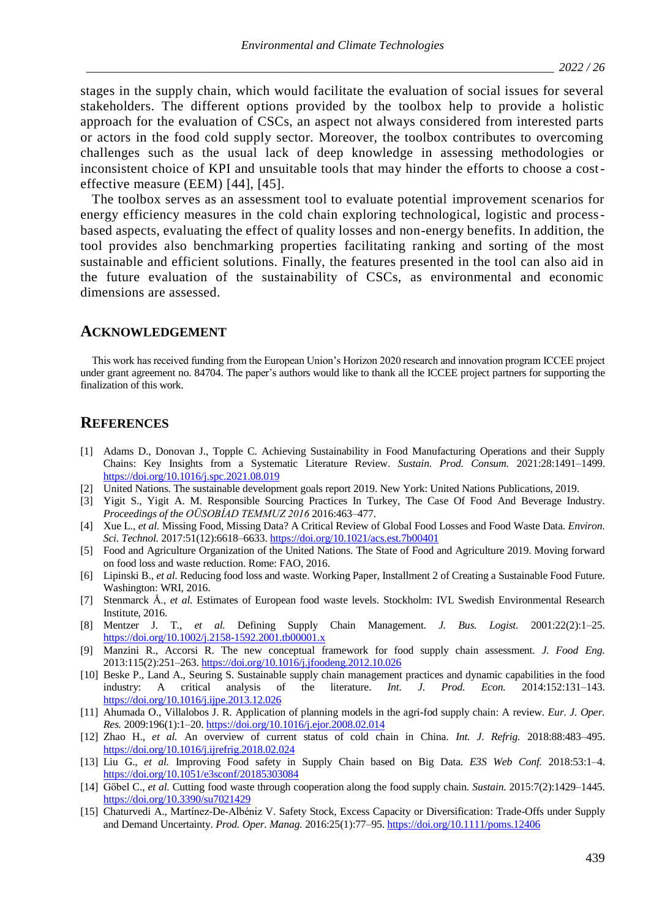stages in the supply chain, which would facilitate the evaluation of social issues for several stakeholders. The different options provided by the toolbox help to provide a holistic approach for the evaluation of CSCs, an aspect not always considered from interested parts or actors in the food cold supply sector. Moreover, the toolbox contributes to overcoming challenges such as the usual lack of deep knowledge in assessing methodologies or inconsistent choice of KPI and unsuitable tools that may hinder the efforts to choose a costeffective measure (EEM) [44], [45].

The toolbox serves as an assessment tool to evaluate potential improvement scenarios for energy efficiency measures in the cold chain exploring technological, logistic and processbased aspects, evaluating the effect of quality losses and non-energy benefits. In addition, the tool provides also benchmarking properties facilitating ranking and sorting of the most sustainable and efficient solutions. Finally, the features presented in the tool can also aid in the future evaluation of the sustainability of CSCs, as environmental and economic dimensions are assessed.

#### **ACKNOWLEDGEMENT**

This work has received funding from the European Union's Horizon 2020 research and innovation program ICCEE project under grant agreement no. 84704. The paper's authors would like to thank all the ICCEE project partners for supporting the finalization of this work.

## **REFERENCES**

- [1] Adams D., Donovan J., Topple C. Achieving Sustainability in Food Manufacturing Operations and their Supply Chains: Key Insights from a Systematic Literature Review. *Sustain. Prod. Consum.* 2021:28:1491–1499. <https://doi.org/10.1016/j.spc.2021.08.019>
- [2] United Nations. The sustainable development goals report 2019. New York: United Nations Publications, 2019.
- [3] Yigit S., Yigit A. M. Responsible Sourcing Practices In Turkey, The Case Of Food And Beverage Industry. *Proceedings of the OÜSOBİAD TEMMUZ 2016* 2016:463–477.
- [4] Xue L., *et al.* Missing Food, Missing Data? A Critical Review of Global Food Losses and Food Waste Data. *Environ. Sci. Technol.* 2017:51(12):6618–6633[. https://doi.org/10.1021/acs.est.7b00401](https://doi.org/10.1021/acs.est.7b00401)
- [5] Food and Agriculture Organization of the United Nations. The State of Food and Agriculture 2019. Moving forward on food loss and waste reduction. Rome: FAO, 2016.
- [6] Lipinski B., *et al.* Reducing food loss and waste. Working Paper, Installment 2 of Creating a Sustainable Food Future. Washington: WRI, 2016.
- [7] Stenmarck Å., *et al.* Estimates of European food waste levels. Stockholm: IVL Swedish Environmental Research Institute, 2016.
- [8] Mentzer J. T., *et al.* Defining Supply Chain Management. *J. Bus. Logist.* 2001:22(2):1–25. <https://doi.org/10.1002/j.2158-1592.2001.tb00001.x>
- [9] Manzini R., Accorsi R. The new conceptual framework for food supply chain assessment. *J. Food Eng.* 2013:115(2):251–263[. https://doi.org/10.1016/j.jfoodeng.2012.10.026](https://doi.org/10.1016/j.jfoodeng.2012.10.026)
- [10] Beske P., Land A., Seuring S. Sustainable supply chain management practices and dynamic capabilities in the food industry: A critical analysis of the literature. *Int. J. Prod. Econ.* 2014:152:131–143. <https://doi.org/10.1016/j.ijpe.2013.12.026>
- [11] Ahumada O., Villalobos J. R. Application of planning models in the agri-fod supply chain: A review. *Eur. J. Oper. Res.* 2009:196(1):1–20. <https://doi.org/10.1016/j.ejor.2008.02.014>
- [12] Zhao H., *et al.* An overview of current status of cold chain in China. *Int. J. Refrig.* 2018:88:483–495. <https://doi.org/10.1016/j.ijrefrig.2018.02.024>
- [13] Liu G., *et al.* Improving Food safety in Supply Chain based on Big Data. *E3S Web Conf.* 2018:53:1–4. <https://doi.org/10.1051/e3sconf/20185303084>
- [14] Göbel C., *et al.* Cutting food waste through cooperation along the food supply chain. *Sustain.* 2015:7(2):1429–1445. <https://doi.org/10.3390/su7021429>
- [15] Chaturvedi A., Martínez-De-Albéniz V. Safety Stock, Excess Capacity or Diversification: Trade-Offs under Supply and Demand Uncertainty. *Prod. Oper. Manag.* 2016:25(1):77–95. <https://doi.org/10.1111/poms.12406>